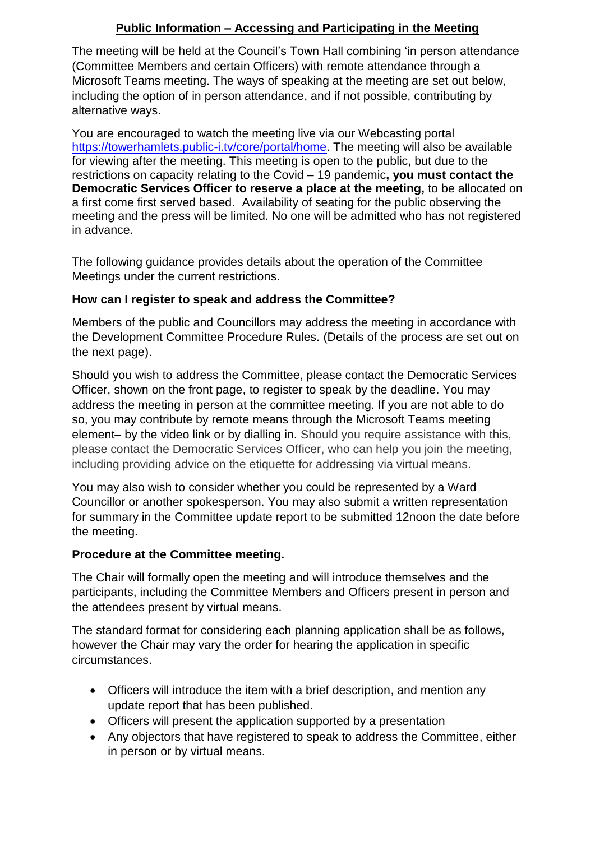## **Public Information – Accessing and Participating in the Meeting**

The meeting will be held at the Council's Town Hall combining 'in person attendance (Committee Members and certain Officers) with remote attendance through a Microsoft Teams meeting. The ways of speaking at the meeting are set out below, including the option of in person attendance, and if not possible, contributing by alternative ways.

You are encouraged to watch the meeting live via our Webcasting portal [https://towerhamlets.public-i.tv/core/portal/home.](https://towerhamlets.public-i.tv/core/portal/home) The meeting will also be available for viewing after the meeting. This meeting is open to the public, but due to the restrictions on capacity relating to the Covid – 19 pandemic**, you must contact the Democratic Services Officer to reserve a place at the meeting,** to be allocated on a first come first served based. Availability of seating for the public observing the meeting and the press will be limited. No one will be admitted who has not registered in advance.

The following guidance provides details about the operation of the Committee Meetings under the current restrictions.

## **How can I register to speak and address the Committee?**

Members of the public and Councillors may address the meeting in accordance with the Development Committee Procedure Rules. (Details of the process are set out on the next page).

Should you wish to address the Committee, please contact the Democratic Services Officer, shown on the front page, to register to speak by the deadline. You may address the meeting in person at the committee meeting. If you are not able to do so, you may contribute by remote means through the Microsoft Teams meeting element– by the video link or by dialling in. Should you require assistance with this, please contact the Democratic Services Officer, who can help you join the meeting, including providing advice on the etiquette for addressing via virtual means.

You may also wish to consider whether you could be represented by a Ward Councillor or another spokesperson. You may also submit a written representation for summary in the Committee update report to be submitted 12noon the date before the meeting.

## **Procedure at the Committee meeting.**

The Chair will formally open the meeting and will introduce themselves and the participants, including the Committee Members and Officers present in person and the attendees present by virtual means.

The standard format for considering each planning application shall be as follows, however the Chair may vary the order for hearing the application in specific circumstances.

- Officers will introduce the item with a brief description, and mention any update report that has been published.
- Officers will present the application supported by a presentation
- Any objectors that have registered to speak to address the Committee, either in person or by virtual means.